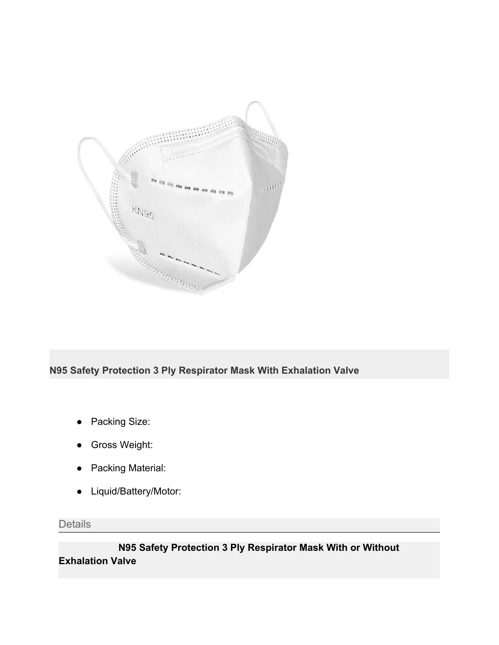

# **N95 Safety Protection 3 Ply Respirator Mask With Exhalation Valve**

- Packing Size:
- Gross Weight:
- Packing Material:
- Liquid/Battery/Motor:

**Details** 

 **N95 Safety Protection 3 Ply Respirator Mask With or Without Exhalation Valve**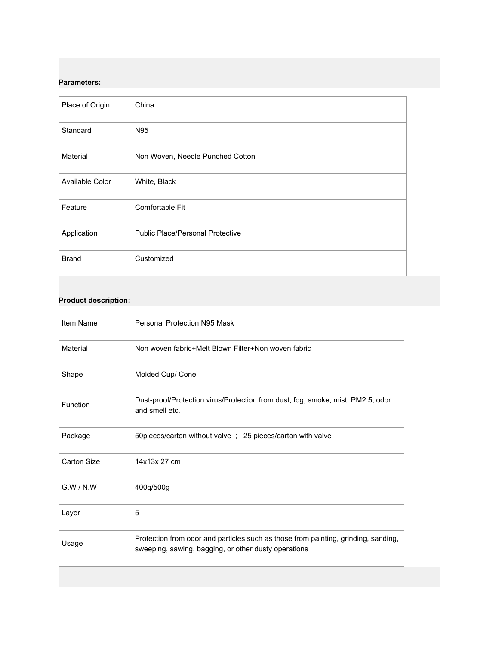## **Parameters:**

| Place of Origin | China                                   |
|-----------------|-----------------------------------------|
| Standard        | N95                                     |
| Material        | Non Woven, Needle Punched Cotton        |
| Available Color | White, Black                            |
| Feature         | Comfortable Fit                         |
| Application     | <b>Public Place/Personal Protective</b> |
| <b>Brand</b>    | Customized                              |

## **Product description:**

| Item Name   | Personal Protection N95 Mask                                                                                                               |
|-------------|--------------------------------------------------------------------------------------------------------------------------------------------|
| Material    | Non woven fabric+Melt Blown Filter+Non woven fabric                                                                                        |
| Shape       | Molded Cup/ Cone                                                                                                                           |
| Function    | Dust-proof/Protection virus/Protection from dust, fog, smoke, mist, PM2.5, odor<br>and smell etc.                                          |
| Package     | 50pieces/carton without valve ; 25 pieces/carton with valve                                                                                |
| Carton Size | 14x13x 27 cm                                                                                                                               |
| G.W/N.W     | 400g/500g                                                                                                                                  |
| Layer       | 5                                                                                                                                          |
| Usage       | Protection from odor and particles such as those from painting, grinding, sanding,<br>sweeping, sawing, bagging, or other dusty operations |
|             |                                                                                                                                            |